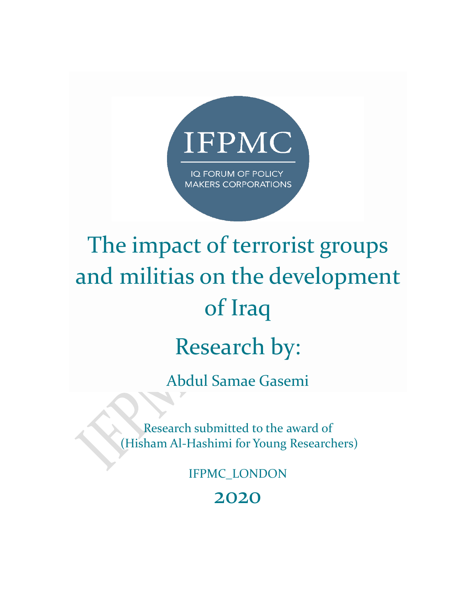

# The impact of terrorist groups and militias on the development of Iraq

## Research by:

Abdul Samae Gasemi

Research submitted to the award of (Hisham Al-Hashimi for Young Researchers)

IFPMC\_LONDON

2020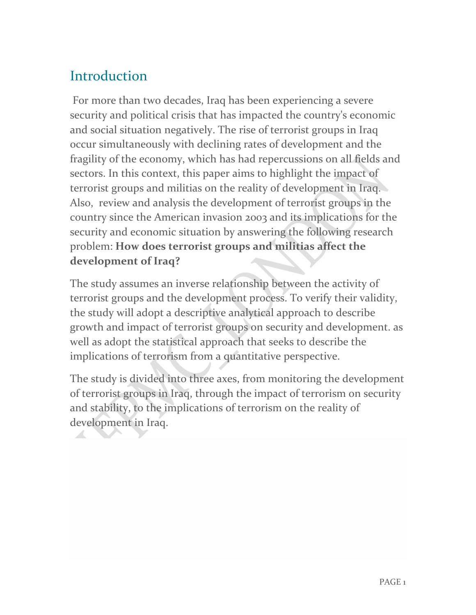## **Introduction**

For more than two decades, Iraq has been experiencing a severe security and political crisis that has impacted the country's economic and social situation negatively. The rise of terrorist groups in Iraq occur simultaneously with declining rates of development and the fragility of the economy, which has had repercussions on all fields and sectors. In this context, this paper aims to highlight the impact of terrorist groups and militias on the reality of development in Iraq. Also, review and analysis the development of terrorist groups in the country since the American invasion 2003 and its implications for the security and economic situation by answering the following research problem: **How does terrorist groups and militias affect the development of Iraq?**

The study assumes an inverse relationship between the activity of terrorist groups and the development process. To verify their validity, the study will adopt a descriptive analytical approach to describe growth and impact of terrorist groups on security and development. as well as adopt the statistical approach that seeks to describe the implications of terrorism from a quantitative perspective.

The study is divided into three axes, from monitoring the development of terrorist groups in Iraq, through the impact of terrorism on security and stability, to the implications of terrorism on the reality of development in Iraq.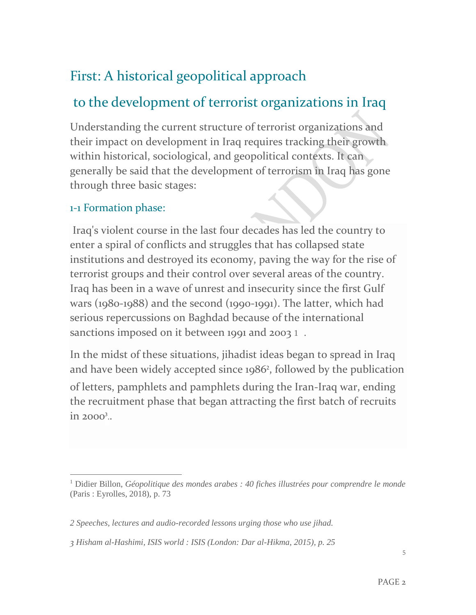## First: A historical geopolitical approach

## to the development of terrorist organizations in Iraq

Understanding the current structure of terrorist organizations and their impact on development in Iraq requires tracking their growth within historical, sociological, and geopolitical contexts. It can generally be said that the development of terrorism in Iraq has gone through three basic stages:

#### 1-1 Formation phase:

Iraq's violent course in the last four decades has led the country to enter a spiral of conflicts and struggles that has collapsed state institutions and destroyed its economy, paving the way for the rise of terrorist groups and their control over several areas of the country. Iraq has been in a wave of unrest and insecurity since the first Gulf wars (1980-1988) and the second (1990-1991). The latter, which had serious repercussions on Baghdad because of the international sanctions imposed on it between 1991 and 2003 1.

In the midst of these situations, jihadist ideas began to spread in Iraq and have been widely accepted since 1986<sup>2</sup> , followed by the publication of letters, pamphlets and pamphlets during the Iran-Iraq war, ending the recruitment phase that began attracting the first batch of recruits in 2000<sup>3</sup>..

<sup>1</sup> Didier Billon, *Géopolitique des mondes arabes : 40 fiches illustrées pour comprendre le monde* (Paris : Eyrolles, 2018), p. 73

*<sup>2</sup> Speeches, lectures and audio-recorded lessons urging those who use jihad.*

*<sup>3</sup> Hisham al-Hashimi, ISIS world : ISIS (London: Dar al-Hikma, 2015), p. 25*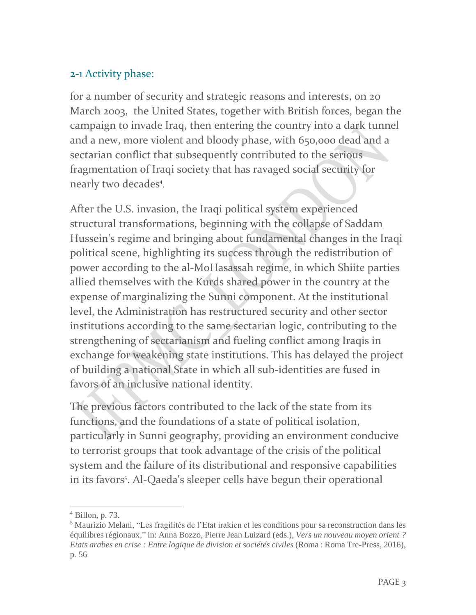#### 2-1 Activity phase:

for a number of security and strategic reasons and interests, on 20 March 2003, the United States, together with British forces, began the campaign to invade Iraq, then entering the country into a dark tunnel and a new, more violent and bloody phase, with 650,000 dead and a sectarian conflict that subsequently contributed to the serious fragmentation of Iraqi society that has ravaged social security for nearly two decades<sup>4</sup>. .

After the U.S. invasion, the Iraqi political system experienced structural transformations, beginning with the collapse of Saddam Hussein's regime and bringing about fundamental changes in the Iraqi political scene, highlighting its success through the redistribution of power according to the al-MoHasassah regime, in which Shiite parties allied themselves with the Kurds shared power in the country at the expense of marginalizing the Sunni component. At the institutional level, the Administration has restructured security and other sector institutions according to the same sectarian logic, contributing to the strengthening of sectarianism and fueling conflict among Iraqis in exchange for weakening state institutions. This has delayed the project of building a national State in which all sub-identities are fused in favors of an inclusive national identity.

The previous factors contributed to the lack of the state from its functions, and the foundations of a state of political isolation, particularly in Sunni geography, providing an environment conducive to terrorist groups that took advantage of the crisis of the political system and the failure of its distributional and responsive capabilities in its favors<sup>s</sup>. Al-Qaeda's sleeper cells have begun their operational

 $<sup>4</sup>$  Billon, p. 73.</sup>

<sup>5</sup> Maurizio Melani, "Les fragilités de l'Etat irakien et les conditions pour sa reconstruction dans les équilibres régionaux," in: Anna Bozzo, Pierre Jean Luizard (eds.), *Vers un nouveau moyen orient ? Etats arabes en crise : Entre logique de division et sociétés civiles* (Roma : Roma Tre-Press, 2016), p. 56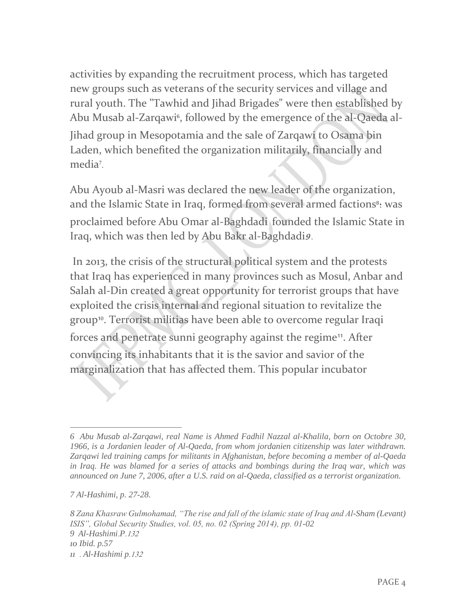activities by expanding the recruitment process, which has targeted new groups such as veterans of the security services and village and rural youth. The "Tawhid and Jihad Brigades" were then established by Abu Musab al-Zarqawi§, followed by the emergence of the al-Qaeda al-Jihad group in Mesopotamia and the sale of Zarqawi to Osama bin Laden, which benefited the organization militarily, financially and media<sup>7</sup> .

Abu Ayoub al-Masri was declared the new leader of the organization, and the Islamic State in Iraq, formed from several armed factions<sup>8</sup>: was proclaimed before Abu Omar al-Baghdadi founded the Islamic State in Iraq, which was then led by Abu Bakr al-Baghdadis.

In 2013, the crisis of the structural political system and the protests that Iraq has experienced in many provinces such as Mosul, Anbar and Salah al-Din created a great opportunity for terrorist groups that have exploited the crisis internal and regional situation to revitalize the group<sup>10</sup>. Terrorist militias have been able to overcome regular Iraqi forces and penetrate sunni geography against the regime<sup>11</sup>. After convincing its inhabitants that it is the savior and savior of the marginalization that has affected them. This popular incubator

*<sup>6</sup> Abu Musab al-Zarqawi, real Name is Ahmed Fadhil Nazzal al-Khalila, born on Octobre 30, 1966, is a Jordanien leader of Al-Qaeda, from whom jordanien citizenship was later withdrawn. Zarqawi led training camps for militants in Afghanistan, before becoming a member of al-Qaeda in Iraq. He was blamed for a series of attacks and bombings during the Iraq war, which was announced on June 7, 2006, after a U.S. raid on al-Qaeda, classified as a terrorist organization.*

*<sup>7</sup> Al-Hashimi, p. 27-28.*

*<sup>8</sup> Zana Khasraw Gulmohamad, "The rise and fall of the islamic state of Iraq and Al-Sham (Levant) ISIS", Global Security Studies, vol. 05, no. 02 (Spring 2014), pp. 01-02 9 Al-Hashimi*.*P* .132 *10 Ibid. p.57 11* . *Al-Hashimi p* .132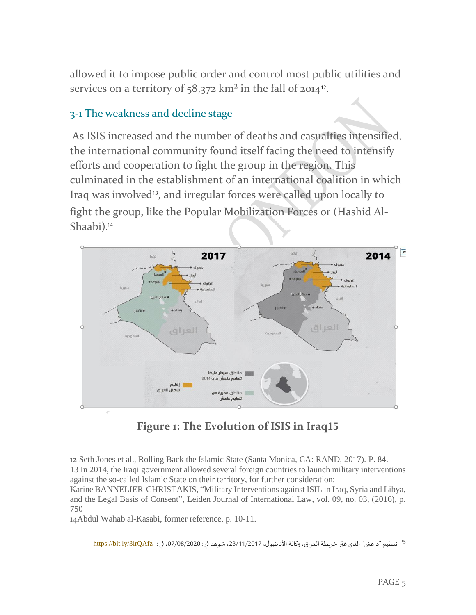allowed it to impose public order and control most public utilities and services on a territory of 58,372  $\rm km^2$  in the fall of 2014<sup>12</sup>.

#### 3-1 The weakness and decline stage

As ISIS increased and the number of deaths and casualties intensified, the international community found itself facing the need to intensify efforts and cooperation to fight the group in the region. This culminated in the establishment of an international coalition in which Iraq was involved<sup>13</sup>, and irregular forces were called upon locally to fight the group, like the Popular Mobilization Forces or (Hashid Al-Shaabi). 14



#### **Figure 1: The Evolution of ISIS in Iraq15**

14Abdul Wahab al-Kasabi, former reference, p. 10-11.

<sup>15</sup> تنظيم "داعش" الذي غيّر خريطة العراق، وكالة الأناضول، 23/11/2017، شوهد في : 07/08/2020، في : <u>https://bit.ly/3lrQAfz</u> ֦֧֦֧֦֧֦֧֦֧֦֧֦֧֦֧

<sup>12</sup> Seth Jones et al., Rolling Back the Islamic State (Santa Monica, CA: RAND, 2017). P. 84. 13 In 2014, the Iraqi government allowed several foreign countries to launch military interventions against the so-called Islamic State on their territory, for further consideration:

Karine BANNELIER-CHRISTAKIS, "Military Interventions against ISIL in Iraq, Syria and Libya, and the Legal Basis of Consent", Leiden Journal of International Law, vol. 09, no. 03, (2016), p. 750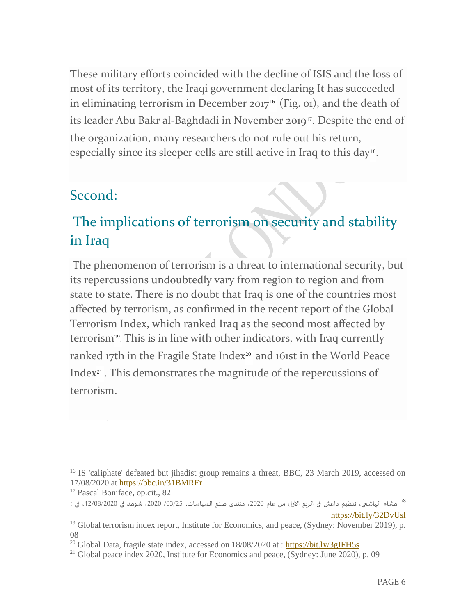These military efforts coincided with the decline of ISIS and the loss of most of its territory, the Iraqi government declaring It has succeeded in eliminating terrorism in December 2017<sup>16</sup> (Fig. 01), and the death of its leader Abu Bakr al-Baghdadi in November 2019<sup>17</sup>. Despite the end of the organization, many researchers do not rule out his return, especially since its sleeper cells are still active in Iraq to this day<sup>18</sup>.

#### Second:

## The implications of terrorism on security and stability in Iraq

The phenomenon of terrorism is a threat to international security, but its repercussions undoubtedly vary from region to region and from state to state. There is no doubt that Iraq is one of the countries most affected by terrorism, as confirmed in the recent report of the Global Terrorism Index, which ranked Iraq as the second most affected by terrorism<sup>19</sup> . This is in line with other indicators, with Iraq currently ranked 17th in the Fragile State Index<sup>20</sup> and 161st in the World Peace Index<sup>21</sup>.. This demonstrates the magnitude of the repercussions of terrorism.

<sup>&</sup>lt;sup>16</sup> IS 'caliphate' defeated but jihadist group remains a threat, BBC, 23 March 2019, accessed on 17/08/2020 at<https://bbc.in/31BMREr>

<sup>&</sup>lt;sup>17</sup> Pascal Boniface, op.cit., 82

هشام الهاشمي، تنظيم داعش في الربع الأول من عام 2020، منتدى صنع السياسات، 25/25/ 2020، شوهد في 2020/08/2020، في :  $\,$ <https://bit.ly/32DvUsl>

<sup>&</sup>lt;sup>19</sup> Global terrorism index report, Institute for Economics, and peace, (Sydney: November 2019), p. 08

<sup>&</sup>lt;sup>20</sup> Global Data, fragile state index, accessed on  $18/08/2020$  at :<https://bit.ly/3gIFH5s>

 $21$  Global peace index 2020, Institute for Economics and peace, (Sydney: June 2020), p. 09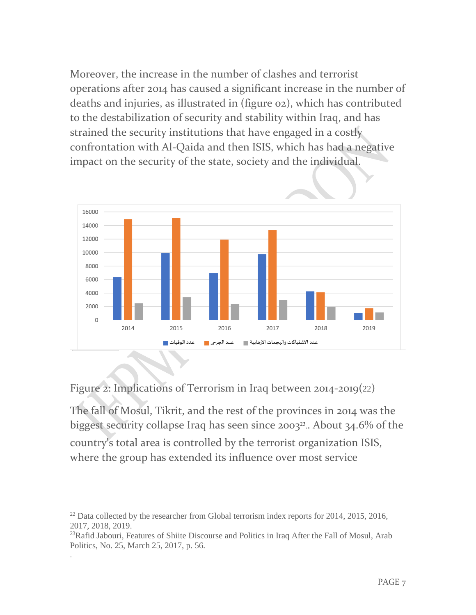Moreover, the increase in the number of clashes and terrorist operations after 2014 has caused a significant increase in the number of deaths and injuries, as illustrated in (figure 02), which has contributed to the destabilization of security and stability within Iraq, and has strained the security institutions that have engaged in a costly confrontation with Al-Qaida and then ISIS, which has had a negative impact on the security of the state, society and the individual.



Figure 2: Implications of Terrorism in Iraq between 2014-2019(22)

The fall of Mosul, Tikrit, and the rest of the provinces in 2014 was the biggest security collapse Iraq has seen since 2003<sup>23</sup>.. About 34.6% of the country's total area is controlled by the terrorist organization ISIS, where the group has extended its influence over most service

.

 $^{22}$  Data collected by the researcher from Global terrorism index reports for 2014, 2015, 2016, 2017, 2018, 2019.

<sup>&</sup>lt;sup>23</sup>Rafid Jabouri, Features of Shiite Discourse and Politics in Iraq After the Fall of Mosul, Arab Politics, No. 25, March 25, 2017, p. 56.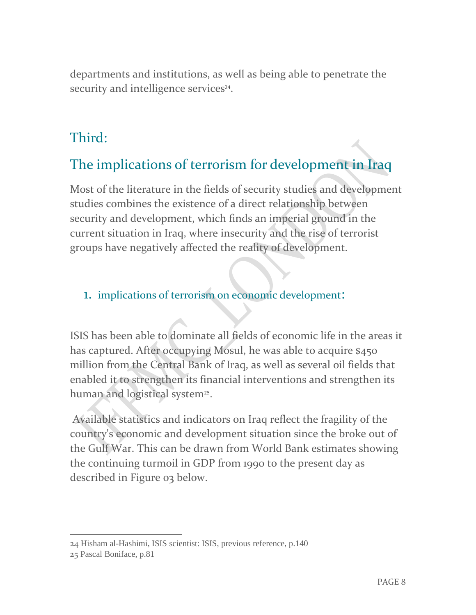departments and institutions, as well as being able to penetrate the security and intelligence services<sup>24</sup>.

### Third:

## The implications of terrorism for development in Iraq

Most of the literature in the fields of security studies and development studies combines the existence of a direct relationship between security and development, which finds an imperial ground in the current situation in Iraq, where insecurity and the rise of terrorist groups have negatively affected the reality of development.

#### 1. implications of terrorism on economic development:

ISIS has been able to dominate all fields of economic life in the areas it has captured. After occupying Mosul, he was able to acquire \$450 million from the Central Bank of Iraq, as well as several oil fields that enabled it to strengthen its financial interventions and strengthen its human and logistical system<sup>25</sup>.

Available statistics and indicators on Iraq reflect the fragility of the country's economic and development situation since the broke out of the Gulf War. This can be drawn from World Bank estimates showing the continuing turmoil in GDP from 1990 to the present day as described in Figure 03 below.

<sup>24</sup> Hisham al-Hashimi, ISIS scientist: ISIS, previous reference, p.140

<sup>25</sup> Pascal Boniface, p.81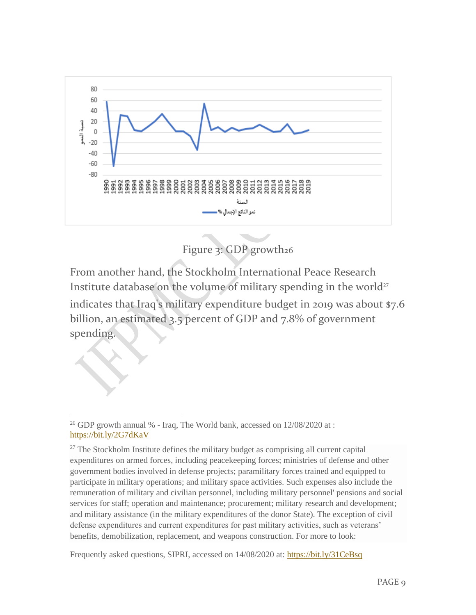

Figure 3: GDP growth26

From another hand, the Stockholm International Peace Research Institute database on the volume of military spending in the world<sup>27</sup>

indicates that Iraq's military expenditure budget in 2019 was about \$7.6 billion, an estimated 3.5 percent of GDP and 7.8% of government spending.

Frequently asked questions, SIPRI, accessed on 14/08/2020 at:<https://bit.ly/31CeBsq>

<sup>&</sup>lt;sup>26</sup> GDP growth annual  $%$  - Iraq, The World bank, accessed on 12/08/2020 at : <https://bit.ly/2G7dKaV>

 $27$  The Stockholm Institute defines the military budget as comprising all current capital expenditures on armed forces, including peacekeeping forces; ministries of defense and other government bodies involved in defense projects; paramilitary forces trained and equipped to participate in military operations; and military space activities. Such expenses also include the remuneration of military and civilian personnel, including military personnel' pensions and social services for staff; operation and maintenance; procurement; military research and development; and military assistance (in the military expenditures of the donor State). The exception of civil defense expenditures and current expenditures for past military activities, such as veterans' benefits, demobilization, replacement, and weapons construction. For more to look: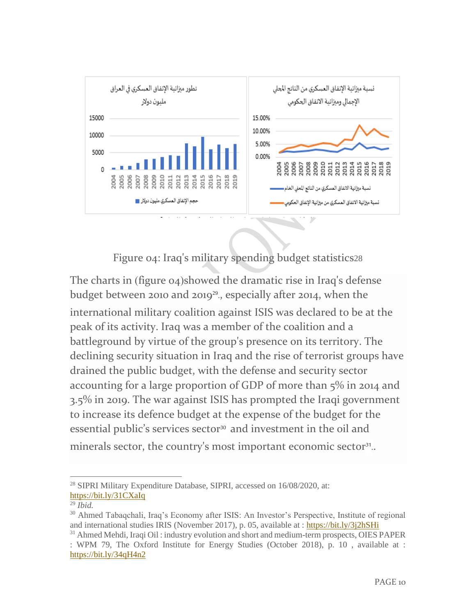

Figure 04: Iraq's military spending budget statistics28

The charts in (figure  $o_4$ )showed the dramatic rise in Iraq's defense budget between 2010 and 2019<sup>29</sup>., especially after 2014, when the international military coalition against ISIS was declared to be at the peak of its activity. Iraq was a member of the coalition and a battleground by virtue of the group's presence on its territory. The declining security situation in Iraq and the rise of terrorist groups have drained the public budget, with the defense and security sector accounting for a large proportion of GDP of more than 5% in 2014 and 3.5% in 2019. The war against ISIS has prompted the Iraqi government to increase its defence budget at the expense of the budget for the essential public's services sector<sup>30</sup> and investment in the oil and minerals sector, the country's most important economic sector<sup>31</sup>..

<sup>&</sup>lt;sup>28</sup> SIPRI Military Expenditure Database, SIPRI, accessed on 16/08/2020, at: <https://bit.ly/31CXaIq>

<sup>29</sup> *Ibid.*

<sup>30</sup> Ahmed Tabaqchali, Iraq's Economy after ISIS: An Investor's Perspective, Institute of regional and international studies IRIS (November 2017), p. 05, available at :<https://bit.ly/3j2hSHi> <sup>31</sup> Ahmed Mehdi, Iraqi Oil : industry evolution and short and medium-term prospects, OIES PAPER

<sup>:</sup> WPM 79, The Oxford Institute for Energy Studies (October 2018), p. 10 , available at : <https://bit.ly/34qH4n2>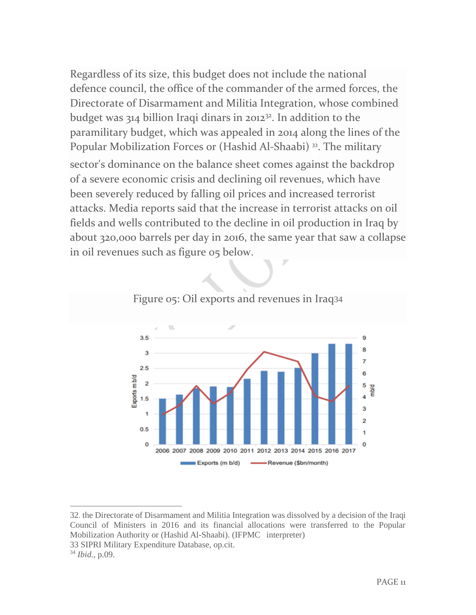Regardless of its size, this budget does not include the national defence council, the office of the commander of the armed forces, the Directorate of Disarmament and Militia Integration, whose combined budget was  $314$  billion Iraqi dinars in 2012<sup>32</sup>. In addition to the paramilitary budget, which was appealed in 2014 along the lines of the Popular Mobilization Forces or (Hashid Al-Shaabi)<sup>33</sup>. The military sector's dominance on the balance sheet comes against the backdrop of a severe economic crisis and declining oil revenues, which have been severely reduced by falling oil prices and increased terrorist attacks. Media reports said that the increase in terrorist attacks on oil fields and wells contributed to the decline in oil production in Iraq by about 320,000 barrels per day in 2016, the same year that saw a collapse in oil revenues such as figure 05 below.





<sup>32</sup>. the Directorate of Disarmament and Militia Integration was dissolved by a decision of the Iraqi Council of Ministers in 2016 and its financial allocations were transferred to the Popular Mobilization Authority or (Hashid Al-Shaabi). (IFPMC interpreter)

<sup>33</sup> SIPRI Military Expenditure Database, op.cit.

<sup>34</sup> *Ibid.,* p.09.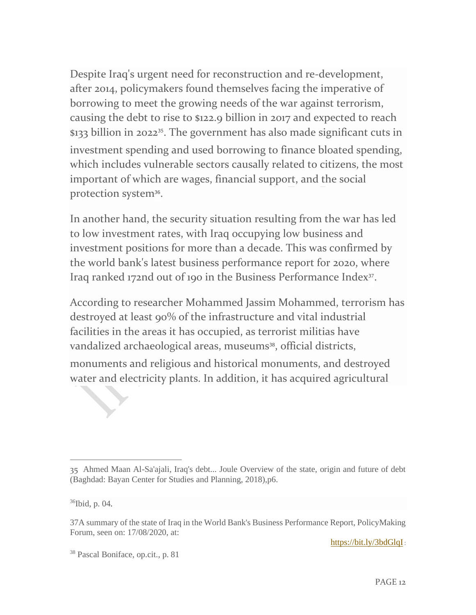Despite Iraq's urgent need for reconstruction and re-development, after 2014, policymakers found themselves facing the imperative of borrowing to meet the growing needs of the war against terrorism, causing the debt to rise to \$122.9 billion in 2017 and expected to reach \$133 billion in 2022<sup>35</sup>. The government has also made significant cuts in investment spending and used borrowing to finance bloated spending, which includes vulnerable sectors causally related to citizens, the most important of which are wages, financial support, and the social protection system<sup>36</sup>.

In another hand, the security situation resulting from the war has led to low investment rates, with Iraq occupying low business and investment positions for more than a decade. This was confirmed by the world bank's latest business performance report for 2020, where Iraq ranked 172nd out of 190 in the Business Performance Index<sup>37</sup>.

According to researcher Mohammed Jassim Mohammed, terrorism has destroyed at least 90% of the infrastructure and vital industrial facilities in the areas it has occupied, as terrorist militias have vandalized archaeological areas, museums<sup>38</sup>, official districts,

monuments and religious and historical monuments, and destroyed water and electricity plants. In addition, it has acquired agricultural

<https://bit.ly/3bdGlqI>:

<sup>35</sup> Ahmed Maan Al-Sa'ajali, Iraq's debt... Joule Overview of the state, origin and future of debt (Baghdad: Bayan Center for Studies and Planning, 2018),p6.

<sup>36</sup>Ibid, p. 04.

<sup>37</sup>A summary of the state of Iraq in the World Bank's Business Performance Report, PolicyMaking Forum, seen on: 17/08/2020, at:

<sup>38</sup> Pascal Boniface, op.cit., p. 81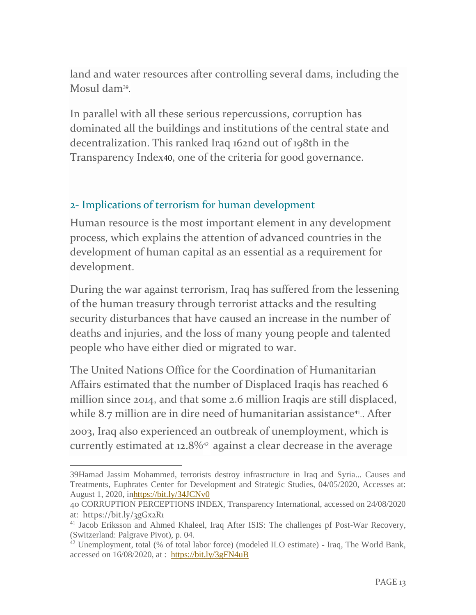land and water resources after controlling several dams, including the Mosul dam<sup>39</sup> .

In parallel with all these serious repercussions, corruption has dominated all the buildings and institutions of the central state and decentralization. This ranked Iraq 162nd out of 198th in the Transparency Index40, one of the criteria for good governance.

#### 2- Implications of terrorism for human development

Human resource is the most important element in any development process, which explains the attention of advanced countries in the development of human capital as an essential as a requirement for development.

During the war against terrorism, Iraq has suffered from the lessening of the human treasury through terrorist attacks and the resulting security disturbances that have caused an increase in the number of deaths and injuries, and the loss of many young people and talented people who have either died or migrated to war.

The United Nations Office for the Coordination of Humanitarian Affairs estimated that the number of Displaced Iraqis has reached 6 million since 2014, and that some 2.6 million Iraqis are still displaced, while 8.7 million are in dire need of humanitarian assistance<sup>41</sup>.. After

2003, Iraq also experienced an outbreak of unemployment, which is currently estimated at 12.8%<sup>42</sup> against a clear decrease in the average

<sup>39</sup>Hamad Jassim Mohammed, terrorists destroy infrastructure in Iraq and Syria... Causes and Treatments, Euphrates Center for Development and Strategic Studies, 04/05/2020, Accesses at: August 1, 2020, i[nhttps://bit.ly/34JCNv0](https://bit.ly/34JCNv0)

<sup>40</sup> CORRUPTION PERCEPTIONS INDEX, Transparency International, accessed on 24/08/2020 at: <https://bit.ly/3gGx2R1>

<sup>&</sup>lt;sup>41</sup> Jacob Eriksson and Ahmed Khaleel, Iraq After ISIS: The challenges pf Post-War Recovery, (Switzerland: Palgrave Pivot), p. 04.

 $42$  Unemployment, total (% of total labor force) (modeled ILO estimate) - Iraq, The World Bank, accessed on 16/08/2020, at : <https://bit.ly/3gFN4uB>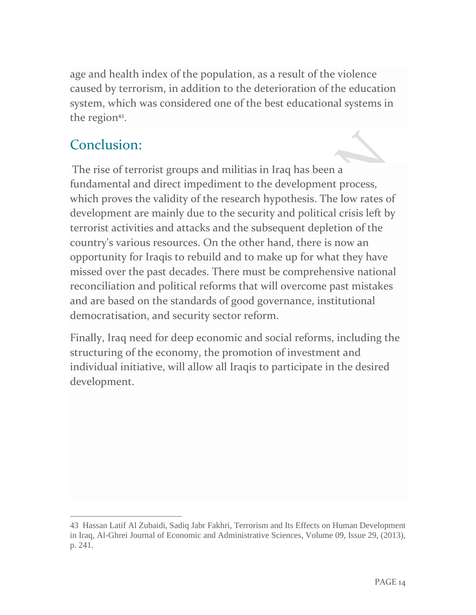age and health index of the population, as a result of the violence caused by terrorism, in addition to the deterioration of the education system, which was considered one of the best educational systems in the region<sup>43</sup>.

## Conclusion:

The rise of terrorist groups and militias in Iraq has been a fundamental and direct impediment to the development process, which proves the validity of the research hypothesis. The low rates of development are mainly due to the security and political crisis left by terrorist activities and attacks and the subsequent depletion of the country's various resources. On the other hand, there is now an opportunity for Iraqis to rebuild and to make up for what they have missed over the past decades. There must be comprehensive national reconciliation and political reforms that will overcome past mistakes and are based on the standards of good governance, institutional democratisation, and security sector reform.

Finally, Iraq need for deep economic and social reforms, including the structuring of the economy, the promotion of investment and individual initiative, will allow all Iraqis to participate in the desired development.

<sup>43</sup> Hassan Latif Al Zubaidi, Sadiq Jabr Fakhri, Terrorism and Its Effects on Human Development in Iraq, Al-Ghrei Journal of Economic and Administrative Sciences, Volume 09, Issue 29, (2013), p. 241.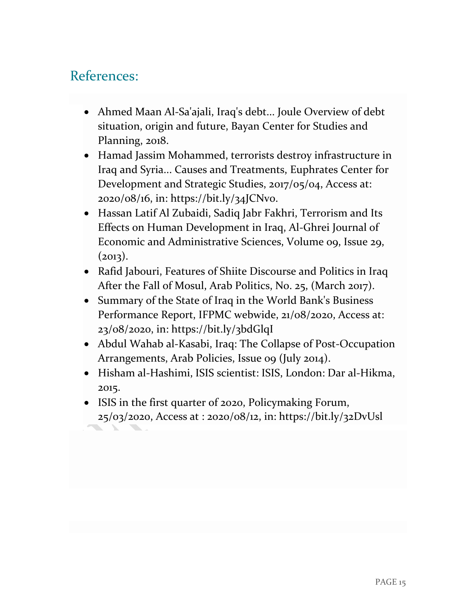#### References:

- Ahmed Maan Al-Sa'ajali, Iraq's debt... Joule Overview of debt situation, origin and future, Bayan Center for Studies and Planning, 2018.
- Hamad Jassim Mohammed, terrorists destroy infrastructure in Iraq and Syria... Causes and Treatments, Euphrates Center for Development and Strategic Studies, 2017/05/04, Access at: 2020/08/16, in: https://bit.ly/34JCNv0.
- Hassan Latif Al Zubaidi, Sadiq Jabr Fakhri, Terrorism and Its Effects on Human Development in Iraq, Al-Ghrei Journal of Economic and Administrative Sciences, Volume 09, Issue 29,  $(2013).$
- Rafid Jabouri, Features of Shiite Discourse and Politics in Iraq After the Fall of Mosul, Arab Politics, No. 25, (March 2017).
- Summary of the State of Iraq in the World Bank's Business Performance Report, IFPMC webwide, 21/08/2020, Access at: 23/08/2020, in: https://bit.ly/3bdGlqI
- Abdul Wahab al-Kasabi, Iraq: The Collapse of Post-Occupation Arrangements, Arab Policies, Issue 09 (July 2014).
- Hisham al-Hashimi, ISIS scientist: ISIS, London: Dar al-Hikma, 2015.
- ISIS in the first quarter of 2020, Policymaking Forum, 25/03/2020, Access at : 2020/08/12, in: https://bit.ly/32DvUsl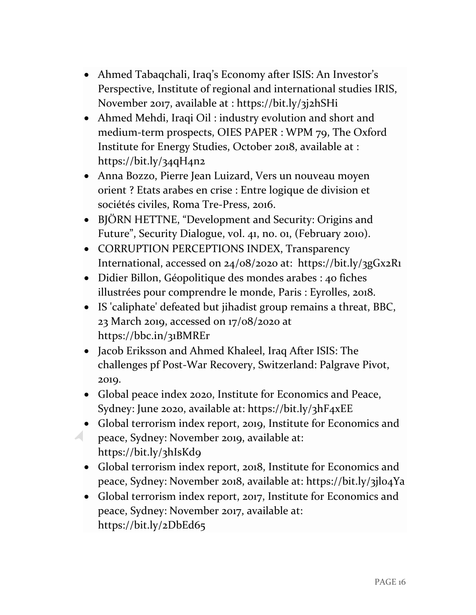- Ahmed Tabaqchali, Iraq's Economy after ISIS: An Investor's Perspective, Institute of regional and international studies IRIS, November 2017, available at :<https://bit.ly/3j2hSHi>
- Ahmed Mehdi, Iraqi Oil : industry evolution and short and medium-term prospects, OIES PAPER : WPM 79, The Oxford Institute for Energy Studies, October 2018, available at : <https://bit.ly/34qH4n2>
- Anna Bozzo, Pierre Jean Luizard, Vers un nouveau moyen orient ? Etats arabes en crise : Entre logique de division et sociétés civiles, Roma Tre-Press, 2016.
- BJÖRN HETTNE, "Development and Security: Origins and Future", Security Dialogue, vol. 41, no. 01, (February 2010).
- CORRUPTION PERCEPTIONS INDEX, Transparency International, accessed on 24/08/2020 at: <https://bit.ly/3gGx2R1>
- Didier Billon, Géopolitique des mondes arabes : 40 fiches illustrées pour comprendre le monde, Paris : Eyrolles, 2018.
- IS 'caliphate' defeated but jihadist group remains a threat, BBC, 23 March 2019, accessed on 17/08/2020 at <https://bbc.in/31BMREr>
- Jacob Eriksson and Ahmed Khaleel, Iraq After ISIS: The challenges pf Post-War Recovery, Switzerland: Palgrave Pivot, 2019.
- Global peace index 2020, Institute for Economics and Peace, Sydney: June 2020, available at:<https://bit.ly/3hF4xEE>
- Global terrorism index report, 2019, Institute for Economics and peace, Sydney: November 2019, available at: <https://bit.ly/3hIsKd9>
	- Global terrorism index report, 2018, Institute for Economics and peace, Sydney: November 2018, available at:<https://bit.ly/3jl04Ya>
	- Global terrorism index report, 2017, Institute for Economics and peace, Sydney: November 2017, available at: <https://bit.ly/2DbEd65>